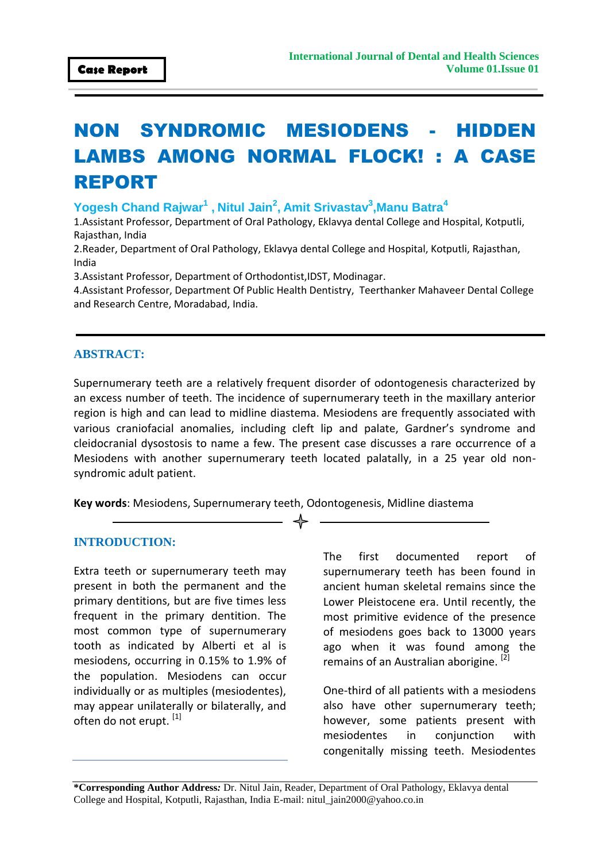# NON SYNDROMIC MESIODENS - HIDDEN LAMBS AMONG NORMAL FLOCK! : A CASE REPORT

**Yogesh Chand Rajwar<sup>1</sup> , Nitul Jain<sup>2</sup> , Amit Srivastav<sup>3</sup> ,Manu Batra<sup>4</sup>**

1.Assistant Professor, Department of Oral Pathology, Eklavya dental College and Hospital, Kotputli, Rajasthan, India

2.Reader, Department of Oral Pathology, Eklavya dental College and Hospital, Kotputli, Rajasthan, India

3.Assistant Professor, Department of Orthodontist,IDST, Modinagar.

4.Assistant Professor, Department Of Public Health Dentistry, Teerthanker Mahaveer Dental College and Research Centre, Moradabad, India.

### **ABSTRACT:**

Supernumerary teeth are a relatively frequent disorder of odontogenesis characterized by an excess number of teeth. The incidence of supernumerary teeth in the maxillary anterior region is high and can lead to midline diastema. Mesiodens are frequently associated with various craniofacial anomalies, including cleft lip and palate, Gardner's syndrome and cleidocranial dysostosis to name a few. The present case discusses a rare occurrence of a Mesiodens with another supernumerary teeth located palatally, in a 25 year old nonsyndromic adult patient.

**Key words**: Mesiodens, Supernumerary teeth, Odontogenesis, Midline diastema

#### **INTRODUCTION:**

Extra teeth or supernumerary teeth may present in both the permanent and the primary dentitions, but are five times less frequent in the primary dentition. The most common type of supernumerary tooth as indicated by Alberti et al is mesiodens, occurring in 0.15% to 1.9% of the population. Mesiodens can occur individually or as multiples (mesiodentes), may appear unilaterally or bilaterally, and often do not erupt. [1]

The first documented report of supernumerary teeth has been found in ancient human skeletal remains since the Lower Pleistocene era. Until recently, the most primitive evidence of the presence of mesiodens goes back to 13000 years ago when it was found among the remains of an Australian aborigine.<sup>[2]</sup>

One-third of all patients with a mesiodens also have other supernumerary teeth; however, some patients present with mesiodentes in conjunction with congenitally missing teeth. Mesiodentes

**\*Corresponding Author Address***:* Dr. Nitul Jain, Reader, Department of Oral Pathology, Eklavya dental College and Hospital, Kotputli, Rajasthan, India E-mail: nitul\_jain2000@yahoo.co.in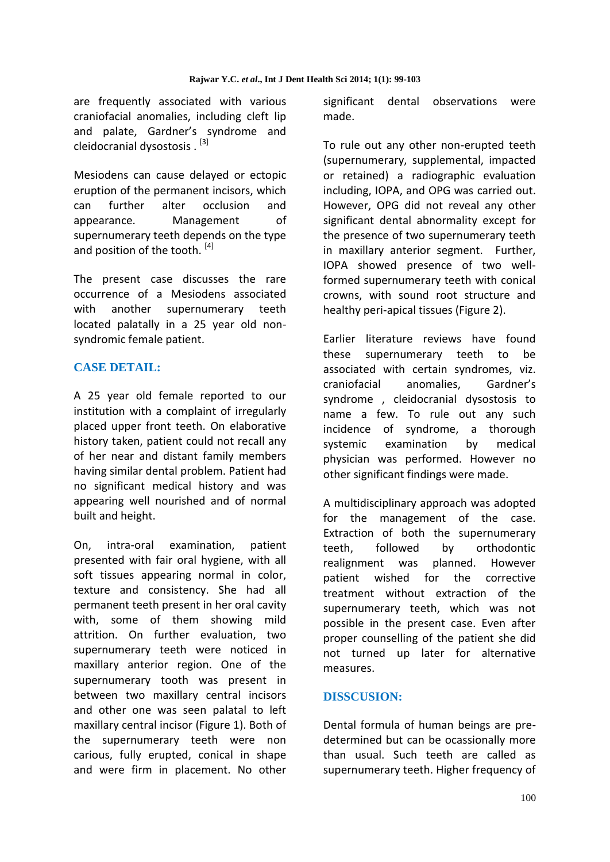are frequently associated with various craniofacial anomalies, including cleft lip and palate, Gardner's syndrome and cleidocranial dysostosis . [3]

Mesiodens can cause delayed or ectopic eruption of the permanent incisors, which can further alter occlusion and appearance. Management of supernumerary teeth depends on the type and position of the tooth.<sup>[4]</sup>

The present case discusses the rare occurrence of a Mesiodens associated with another supernumerary teeth located palatally in a 25 year old nonsyndromic female patient.

## **CASE DETAIL:**

A 25 year old female reported to our institution with a complaint of irregularly placed upper front teeth. On elaborative history taken, patient could not recall any of her near and distant family members having similar dental problem. Patient had no significant medical history and was appearing well nourished and of normal built and height.

On, intra-oral examination, patient presented with fair oral hygiene, with all soft tissues appearing normal in color, texture and consistency. She had all permanent teeth present in her oral cavity with, some of them showing mild attrition. On further evaluation, two supernumerary teeth were noticed in maxillary anterior region. One of the supernumerary tooth was present in between two maxillary central incisors and other one was seen palatal to left maxillary central incisor (Figure 1). Both of the supernumerary teeth were non carious, fully erupted, conical in shape and were firm in placement. No other

significant dental observations were made.

To rule out any other non-erupted teeth (supernumerary, supplemental, impacted or retained) a radiographic evaluation including, IOPA, and OPG was carried out. However, OPG did not reveal any other significant dental abnormality except for the presence of two supernumerary teeth in maxillary anterior segment. Further, IOPA showed presence of two wellformed supernumerary teeth with conical crowns, with sound root structure and healthy peri-apical tissues (Figure 2).

Earlier literature reviews have found these supernumerary teeth to be associated with certain syndromes, viz. craniofacial anomalies, Gardner's syndrome , cleidocranial dysostosis to name a few. To rule out any such incidence of syndrome, a thorough systemic examination by medical physician was performed. However no other significant findings were made.

A multidisciplinary approach was adopted for the management of the case. Extraction of both the supernumerary teeth, followed by orthodontic realignment was planned. However patient wished for the corrective treatment without extraction of the supernumerary teeth, which was not possible in the present case. Even after proper counselling of the patient she did not turned up later for alternative measures.

## **DISSCUSION:**

Dental formula of human beings are predetermined but can be ocassionally more than usual. Such teeth are called as supernumerary teeth. Higher frequency of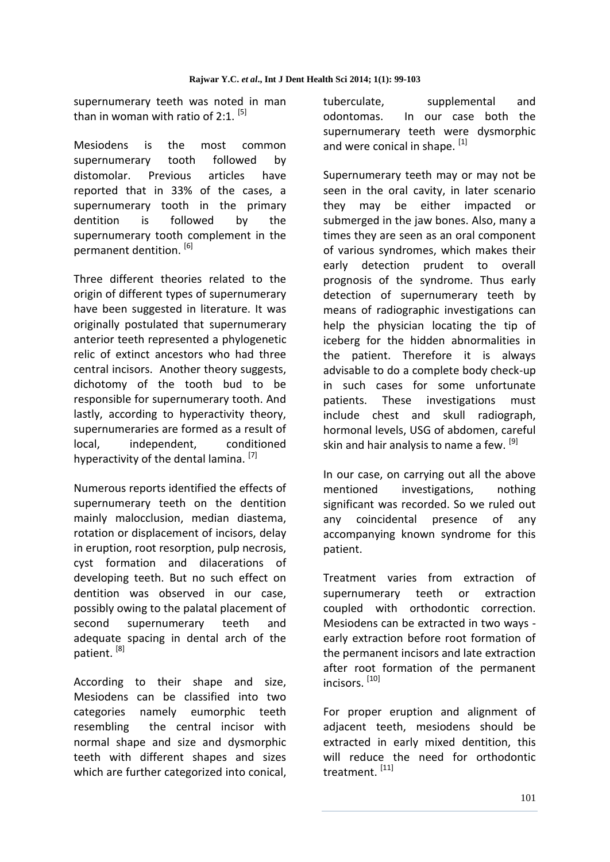supernumerary teeth was noted in man than in woman with ratio of 2:1.  $[5]$ 

Mesiodens is the most common supernumerary tooth followed by distomolar. Previous articles have reported that in 33% of the cases, a supernumerary tooth in the primary dentition is followed by the supernumerary tooth complement in the permanent dentition. [6]

Three different theories related to the origin of different types of supernumerary have been suggested in literature. It was originally postulated that supernumerary anterior teeth represented a phylogenetic relic of extinct ancestors who had three central incisors. Another theory suggests, dichotomy of the tooth bud to be responsible for supernumerary tooth. And lastly, according to hyperactivity theory, supernumeraries are formed as a result of local, independent, conditioned hyperactivity of the dental lamina.<sup>[7]</sup>

Numerous reports identified the effects of supernumerary teeth on the dentition mainly malocclusion, median diastema, rotation or displacement of incisors, delay in eruption, root resorption, pulp necrosis, cyst formation and dilacerations of developing teeth. But no such effect on dentition was observed in our case, possibly owing to the palatal placement of second supernumerary teeth and adequate spacing in dental arch of the patient.<sup>[8]</sup>

According to their shape and size, Mesiodens can be classified into two categories namely eumorphic teeth resembling the central incisor with normal shape and size and dysmorphic teeth with different shapes and sizes which are further categorized into conical,

tuberculate, supplemental and odontomas. In our case both the supernumerary teeth were dysmorphic and were conical in shape. [1]

Supernumerary teeth may or may not be seen in the oral cavity, in later scenario they may be either impacted or submerged in the jaw bones. Also, many a times they are seen as an oral component of various syndromes, which makes their early detection prudent to overall prognosis of the syndrome. Thus early detection of supernumerary teeth by means of radiographic investigations can help the physician locating the tip of iceberg for the hidden abnormalities in the patient. Therefore it is always advisable to do a complete body check-up in such cases for some unfortunate patients. These investigations must include chest and skull radiograph, hormonal levels, USG of abdomen, careful skin and hair analysis to name a few. [9]

In our case, on carrying out all the above mentioned investigations, nothing significant was recorded. So we ruled out any coincidental presence of any accompanying known syndrome for this patient.

Treatment varies from extraction of supernumerary teeth or extraction coupled with orthodontic correction. Mesiodens can be extracted in two ways early extraction before root formation of the permanent incisors and late extraction after root formation of the permanent incisors. [10]

For proper eruption and alignment of adjacent teeth, mesiodens should be extracted in early mixed dentition, this will reduce the need for orthodontic treatment.<sup>[11]</sup>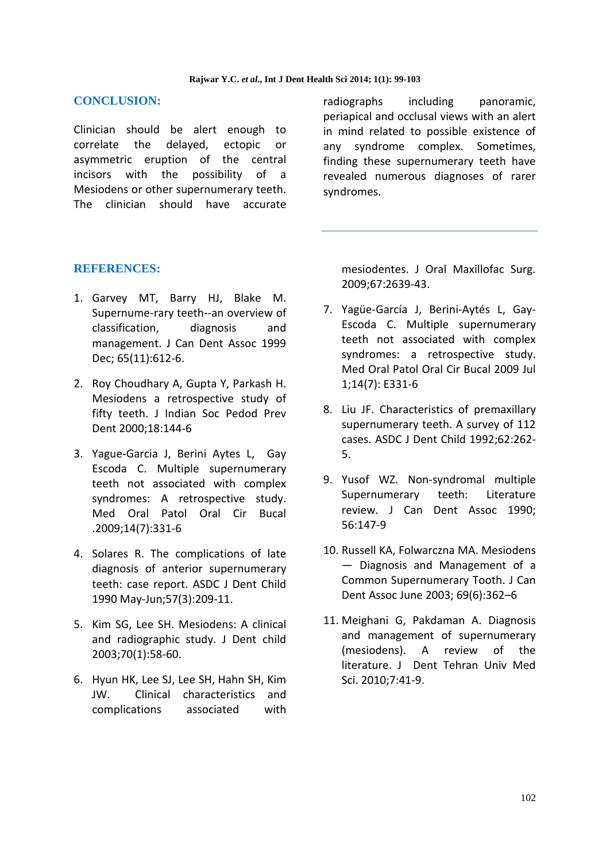#### **CONCLUSION:**

Clinician should be alert enough to correlate the delayed, ectopic or asymmetric eruption of the central incisors with the possibility of a Mesiodens or other supernumerary teeth. The clinician should have accurate radiographs including panoramic, periapical and occlusal views with an alert in mind related to possible existence of any syndrome complex. Sometimes, finding these supernumerary teeth have revealed numerous diagnoses of rarer syndromes.

#### **REFERENCES:**

- 1. Garvey MT, Barry HJ, Blake M. Supernume-rary teeth--an overview of classification, diagnosis and management. J Can Dent Assoc 1999 Dec; 65(11):612-6.
- 2. Roy Choudhary A, Gupta Y, Parkash H. Mesiodens a retrospective study of fifty teeth. J Indian Soc Pedod Prev Dent 2000;18:144-6
- 3. Yague-Garcia J, Berini Aytes L, Gay Escoda C. Multiple supernumerary teeth not associated with complex syndromes: A retrospective study. Med Oral Patol Oral Cir Bucal .2009;14(7):331-6
- 4. Solares R. The complications of late diagnosis of anterior supernumerary teeth: case report. ASDC J Dent Child 1990 May-Jun;57(3):209-11.
- 5. Kim SG, Lee SH. Mesiodens: A clinical and radiographic study. J Dent child 2003;70(1):58-60.
- 6. Hyun HK, Lee SJ, Lee SH, Hahn SH, Kim JW. Clinical characteristics and complications associated with

mesiodentes. J Oral Maxillofac Surg. 2009;67:2639-43.

- 7. Yagüe-García J, Berini-Aytés L, Gay-Escoda C. Multiple supernumerary teeth not associated with complex syndromes: a retrospective study. Med Oral Patol Oral Cir Bucal 2009 Jul 1;14(7): E331-6
- 8. Liu JF. Characteristics of premaxillary supernumerary teeth. A survey of 112 cases. ASDC J Dent Child 1992;62:262- 5.
- 9. Yusof WZ. Non-syndromal multiple Supernumerary teeth: Literature review. J Can Dent Assoc 1990; 56:147-9
- 10. Russell KA, Folwarczna MA. Mesiodens — Diagnosis and Management of a Common Supernumerary Tooth. J Can Dent Assoc June 2003; 69(6):362–6
- 11. Meighani G, Pakdaman A. Diagnosis and management of supernumerary (mesiodens). A review of the literature. J Dent Tehran Univ Med Sci. 2010;7:41-9.